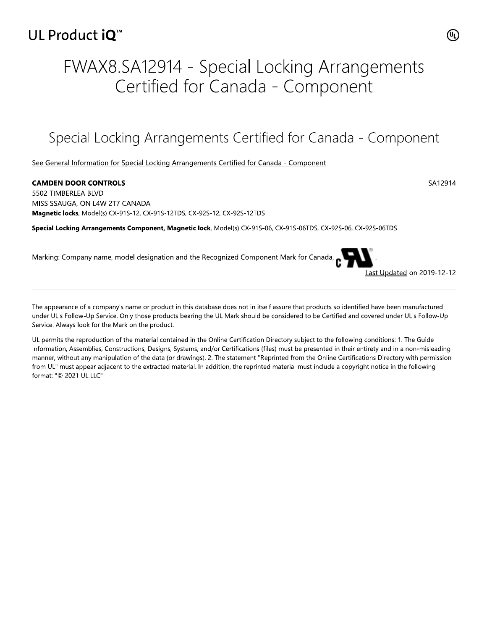### UL Product iQ<sup>™</sup>

# FWAX8.SA12914 - Special Locking Arrangements Certified for Canada - Component

## Special Locking Arrangements Certified for Canada - Component

See General Information for Special Locking Arrangements Certified for Canada - Component

#### **CAMDEN DOOR CONTROLS** 5502 TIMBERLEA BLVD MISSISSAUGA, ON L4W 2T7 CANADA Magnetic locks, Model(s) CX-91S-12, CX-91S-12TDS, CX-92S-12, CX-92S-12TDS

Special Locking Arrangements Component, Magnetic lock, Model(s) CX-91S-06, CX-91S-06TDS, CX-92S-06, CX-92S-06TDS

Marking: Company name, model designation and the Recognized Component Mark for Canada,

The appearance of a company's name or product in this database does not in itself assure that products so identified have been manufactured under UL's Follow-Up Service. Only those products bearing the UL Mark should be considered to be Certified and covered under UL's Follow-Up Service. Always look for the Mark on the product.

UL permits the reproduction of the material contained in the Online Certification Directory subject to the following conditions: 1. The Guide Information, Assemblies, Constructions, Designs, Systems, and/or Certifications (files) must be presented in their entirety and in a non-misleading manner, without any manipulation of the data (or drawings). 2. The statement "Reprinted from the Online Certifications Directory with permission from UL" must appear adjacent to the extracted material. In addition, the reprinted material must include a copyright notice in the following format: "© 2021 UL LLC"



ast Updated on 2019-12-12